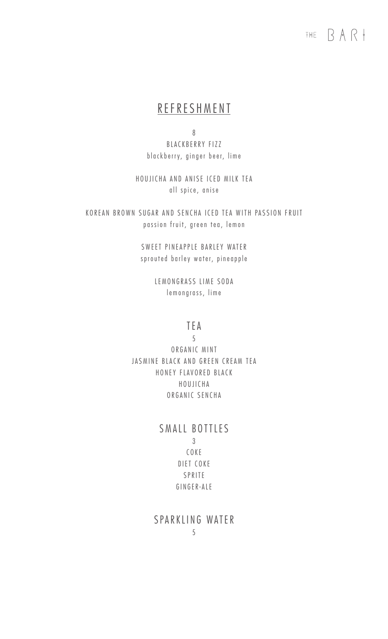# THE  $\beta$  A  $\beta$

#### R E F R E S H M E N T

8 B L A C K B E R R Y F I Z Z blackberry, ginger beer, lime

HOUJICHA AND ANISE ICED MILK TEA all spice, anise

KOREAN BROWN SUGAR AND SENCHA ICED TEA WITH PASSION FRUIT passion fruit, green tea, lemon

> SWEET PINEAPPLE BARLEY WATER sprouted barley water, pineapple

> > LEMONGRASS LIME SODA le mongrass, lime

#### T E A

5

ORGANIC MINT JASMINE BLACK AND GREEN CREAM TEA HONEY FLAVORED BLACK H O U J I C H A O R G A N I C S E N C H A

#### SMALL BOTTLES 3 C O K E D I ET COKE **SPRITE** G I N G E R -A L E

S PARKLING WATER 5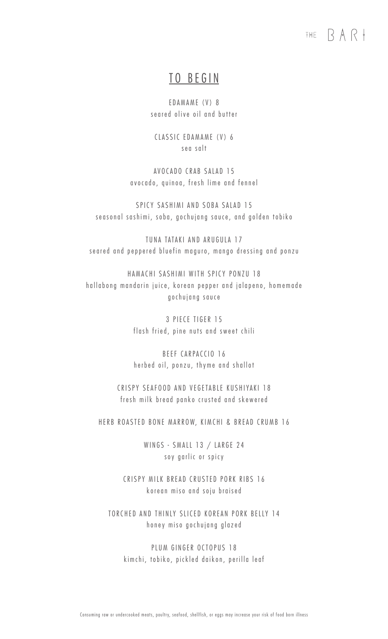## THE  $\mathsf{RAR}$

#### TO BEGIN

E DAMAME (V) 8 se ared olive oil and butter

CLASSIC EDAMAME (V) 6 sea salt

AVOCADO CRAB SALAD 15 avocado, quinoa, fresh lime and fennel

SPICY SASHIMI AND SOBA SALAD 15 se a s on al sa shimi, so b a, go chujang sauce, and golden to bik o

TUNA TATAKI AND ARUGULA 17 seared and peppered bluefin maguro, mango dressing and ponzu

HAMACHI SASHIMI WITH SPICY PONZU 18 hallabong mandarin juice, korean pepper and jalapeno, homemade gochujang sauce

> 3 PIECE TIGER 15 flash fried, pine nuts and sweet chili

> BEEF CARPACCIO 16 herbed oil, ponzu, thyme and shallot

CRISPY SEAFOOD AND VEGETABLE KUSHIYAKI 18 fresh milk bread panko crusted and skewered

HERB ROASTED BONE MARROW, KIMCHI & BREAD CRUMB 16

WINGS - SMALL 13 / LARGE 24 soy garlic or spicy

CRISPY MILK BREAD CRUSTED PORK RIBS 16 k o r e an miso and so ju braised

TORCHED AND THINLY SLICED KOREAN PORK BELLY 14 honey miso gochujang glazed

PLUM GINGER OCTOPUS 18 kimchi, tobiko, pickled daikon, perilla leaf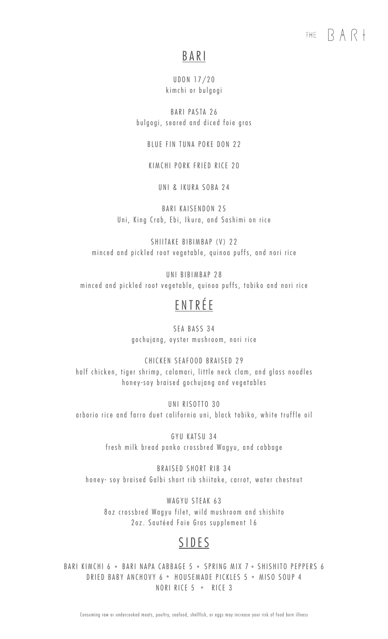## THE  $\mathsf{RAR}$

# B A R I

UDON 17/20 kim chi or bulgogi

BARI PASTA 26 bulgogi, seared and diced foie gras

BLUE FIN TUNA POKE DON 22

KIM CHI PORK FRIED RICE 20

UNI & IKURA SOBA 24

BARI KAISENDON 25 Uni, King Crab, Ebi, Ikura, and Sashimi on rice

SHIITAKE BIBIMBAP (V) 22 minced and pickled root vegetable, quinoa puffs, and nori rice

UNI BIBIMBAP 28 minced and pickled root vegetable, quinoa puffs, tobiko and nori rice

# E N T R É E

SEA BASS 34 gochujang, oyster mushroom, nori rice

CHICKEN SEAFOOD BRAISED 29 half chicken, tiger shrimp, calamari, little neck clam, and glass noodles honey-soy braised gochujang and vegetables

UNI RISOTTO 30 arborio rice and farro duet california uni, black tobiko, white truffle oil

> GYU KATSU 34 fresh milk bread panko crossbred Wagyu, and cabbage

BRAISED SHORT RIB 34 honey - soy braised Galbi short rib shiitake, carrot, water chestnut

WAGYU STEAK 63 8 oz crossbred Wagyu filet, wild mushroom and shishito 2oz. Sautéed Foie Gras supplement 16

# **SIDES**

BARI KIMCHI 6 • BARI NAPA CABBAGE 5 • SPRING MIX 7 • SHISHITO PEPPERS 6 DRIED BABY ANCHOVY 6 ° HOUSEMADE PICKLES 5 ° MISO SOUP 4 NORI RICE 5 · RICE 3